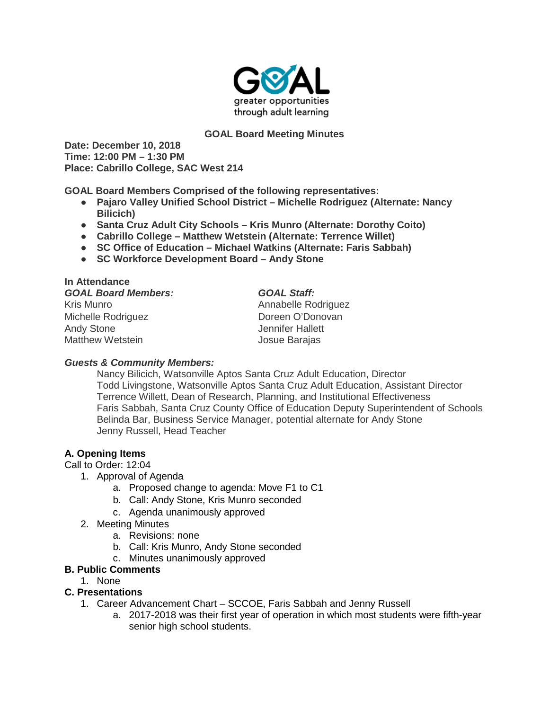

### **GOAL Board Meeting Minutes**

**Date: December 10, 2018 Time: 12:00 PM – 1:30 PM Place: Cabrillo College, SAC West 214**

**GOAL Board Members Comprised of the following representatives:**

- **Pajaro Valley Unified School District – Michelle Rodriguez (Alternate: Nancy Bilicich)**
- **Santa Cruz Adult City Schools – Kris Munro (Alternate: Dorothy Coito)**
- **Cabrillo College – Matthew Wetstein (Alternate: Terrence Willet)**
- **SC Office of Education – Michael Watkins (Alternate: Faris Sabbah)**
- **SC Workforce Development Board – Andy Stone**

| In Attendance              |                     |
|----------------------------|---------------------|
| <b>GOAL Board Members:</b> | <b>GOAL Staff:</b>  |
| Kris Munro                 | Annabelle Rodriguez |
| Michelle Rodriguez         | Doreen O'Donovan    |
| <b>Andy Stone</b>          | Jennifer Hallett    |
| <b>Matthew Wetstein</b>    | Josue Barajas       |

#### *Guests & Community Members:*

Nancy Bilicich, Watsonville Aptos Santa Cruz Adult Education, Director Todd Livingstone, Watsonville Aptos Santa Cruz Adult Education, Assistant Director Terrence Willett, Dean of Research, Planning, and Institutional Effectiveness Faris Sabbah, Santa Cruz County Office of Education Deputy Superintendent of Schools Belinda Bar, Business Service Manager, potential alternate for Andy Stone Jenny Russell, Head Teacher

### **A. Opening Items**

Call to Order: 12:04

- 1. Approval of Agenda
	- a. Proposed change to agenda: Move F1 to C1
	- b. Call: Andy Stone, Kris Munro seconded
	- c. Agenda unanimously approved
- 2. Meeting Minutes
	- a. Revisions: none
	- b. Call: Kris Munro, Andy Stone seconded
	- c. Minutes unanimously approved

#### **B. Public Comments**

1. None

# **C. Presentations**

- 1. Career Advancement Chart SCCOE, Faris Sabbah and Jenny Russell
	- a. 2017-2018 was their first year of operation in which most students were fifth-year senior high school students.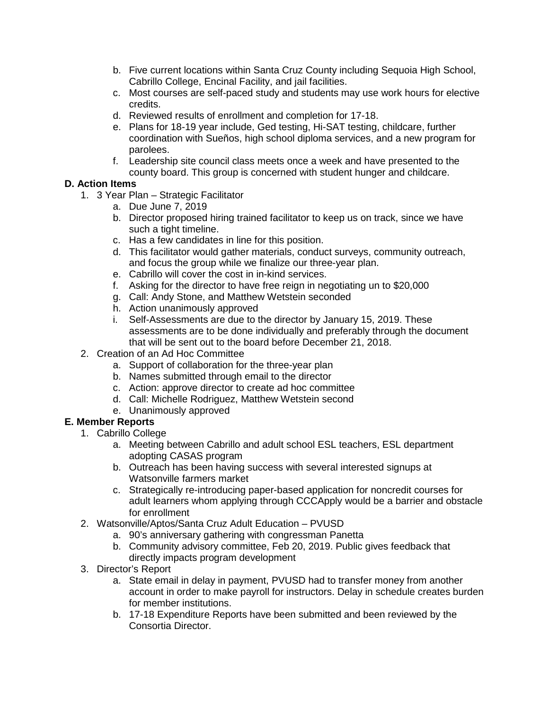- b. Five current locations within Santa Cruz County including Sequoia High School, Cabrillo College, Encinal Facility, and jail facilities.
- c. Most courses are self-paced study and students may use work hours for elective credits.
- d. Reviewed results of enrollment and completion for 17-18.
- e. Plans for 18-19 year include, Ged testing, Hi-SAT testing, childcare, further coordination with Sueños, high school diploma services, and a new program for parolees.
- f. Leadership site council class meets once a week and have presented to the county board. This group is concerned with student hunger and childcare.

# **D. Action Items**

- 1. 3 Year Plan Strategic Facilitator
	- a. Due June 7, 2019
	- b. Director proposed hiring trained facilitator to keep us on track, since we have such a tight timeline.
	- c. Has a few candidates in line for this position.
	- d. This facilitator would gather materials, conduct surveys, community outreach, and focus the group while we finalize our three-year plan.
	- e. Cabrillo will cover the cost in in-kind services.
	- f. Asking for the director to have free reign in negotiating un to \$20,000
	- g. Call: Andy Stone, and Matthew Wetstein seconded
	- h. Action unanimously approved
	- i. Self-Assessments are due to the director by January 15, 2019. These assessments are to be done individually and preferably through the document that will be sent out to the board before December 21, 2018.
- 2. Creation of an Ad Hoc Committee
	- a. Support of collaboration for the three-year plan
	- b. Names submitted through email to the director
	- c. Action: approve director to create ad hoc committee
	- d. Call: Michelle Rodriguez, Matthew Wetstein second
	- e. Unanimously approved

# **E. Member Reports**

- 1. Cabrillo College
	- a. Meeting between Cabrillo and adult school ESL teachers, ESL department adopting CASAS program
	- b. Outreach has been having success with several interested signups at Watsonville farmers market
	- c. Strategically re-introducing paper-based application for noncredit courses for adult learners whom applying through CCCApply would be a barrier and obstacle for enrollment
- 2. Watsonville/Aptos/Santa Cruz Adult Education PVUSD
	- a. 90's anniversary gathering with congressman Panetta
	- b. Community advisory committee, Feb 20, 2019. Public gives feedback that directly impacts program development
- 3. Director's Report
	- a. State email in delay in payment, PVUSD had to transfer money from another account in order to make payroll for instructors. Delay in schedule creates burden for member institutions.
	- b. 17-18 Expenditure Reports have been submitted and been reviewed by the Consortia Director.